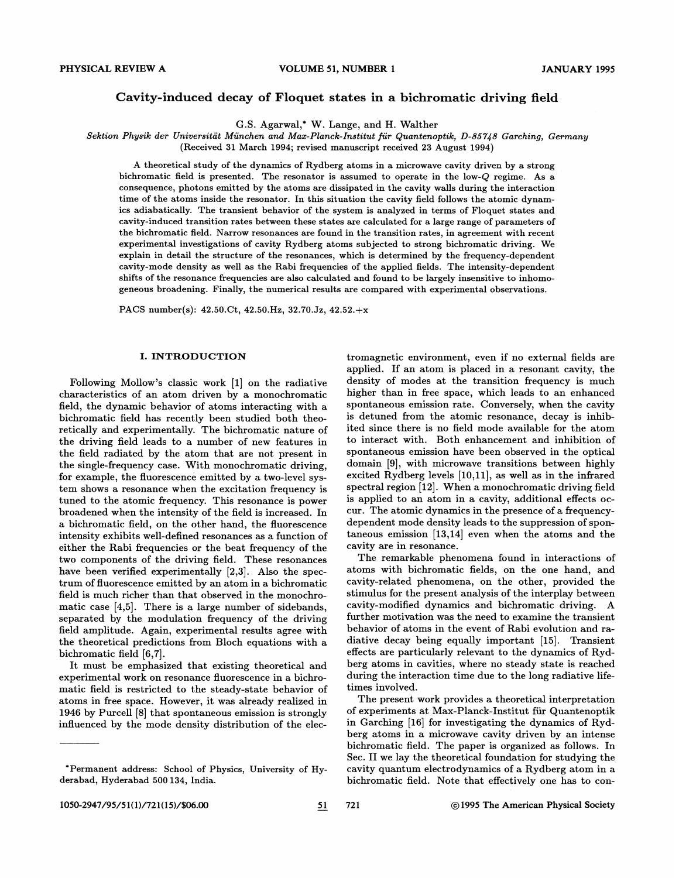# Cavity-induced decay of Floquet states in a bichromatic driving field

G.S. Agarwal,\* W. Lange, and H. Walther

Sektion Physik der Universität München and Max-Planck-Institut für Quantenoptik, D-85748 Garching, Germany

(Received 31 March 1994; revised manuscript received 23 August 1994)

A theoretical study of the dynamics of Rydberg atoms in a microwave cavity driven by a strong bichromatic field is presented. The resonator is assumed to operate in the low-Q regime. As a consequence, photons emitted by the atoms are dissipated in the cavity walls during the interaction time of the atoms inside the resonator. In this situation the cavity field follows the atomic dynamics adiabatically. The transient behavior of the system is analyzed in terms of Floquet states and cavity-induced transition rates between these states are calculated for a large range of parameters of the bichromatic 6eld. Narrow resonances are found in the transition rates, in agreement with recent experimental investigations of cavity Rydberg atoms subjected to strong bichromatic driving. We explain in detail the structure of the resonances, which is determined by the frequency-dependent cavity-mode density as well as the Rabi frequencies of the applied fields. The intensity-dependent shifts of the resonance frequencies are also calculated and found to be largely insensitive to inhomogeneous broadening. Finally, the numerical results are compared with experimental observations.

PACS number(s): 42.50.Ct, 42.50.Hz, 32.70.Jz, 42.52.+x

#### I. INTRODUCTION

Following Mollow's classic work [1] on the radiative characteristics of an atom driven by a monochromatic field, the dynamic behavior of atoms interacting with a bichromatic field has recently been studied both theoretically and experimentally. The bichromatic nature of the driving field leads to a number of new features in the field radiated by the atom that are not present in the single-frequency case. With monochromatic driving, for example, the fluorescence emitted by a two-level system shows a resonance when the excitation frequency is tuned to the atomic frequency. This resonance is power broadened when the intensity of the field is increased. In a bichromatic Geld, on the other hand, the fluorescence intensity exhibits well-defined resonances as a function of either the Rabi frequencies or the beat frequency of the two components of the driving field. These resonances have been verified experimentally [2,3]. Also the spectrum of fluorescence emitted by an atom in a bichromatic field is much richer than that observed in the monochromatic case [4,5]. There is a large number of sidebands, separated by the modulation frequency of the driving field amplitude. Again, experimental results agree with the theoretical predictions from Bloch equations with a bichromatic field [6,7].

It must be emphasized that existing theoretical and experimental work on resonance fluorescence in a bichromatic field is restricted to the steady-state behavior of atoms in free space. However, it was already realized in 1946 by Purcell [8] that spontaneous emission is strongly influenced by the mode density distribution of the electromagnetic environment, even if no external fields are applied. If an atom is placed in a resonant cavity, the density of modes at the transition frequency is much higher than in free space, which leads to an enhanced spontaneous emission rate. Conversely, when the cavity is detuned from the atomic resonance, decay is inhibited since there is no field mode available for the atom to interact with. Both enhancement and inhibition of spontaneous emission have been observed in the optical domain [9], with microwave transitions between highly excited Rydberg levels  $[10,11]$ , as well as in the infrared spectral region [12]. When a monochromatic driving field is applied to an atom in a cavity, additional effects occur. The atomic dynamics in the presence of a frequencydependent mode density leads to the suppression of spontaneous emission [13,14] even when the atoms and the cavity are in resonance.

The remarkable phenomena found in interactions of atoms with bichromatic Gelds, on the one hand, and cavity-related phenomena, on the other, provided the stimulus for the present analysis of the interplay between cavity-modified dynamics and bichromatic driving. A further motivation was the need to examine the transient behavior of atoms in the event of Rabi evolution and radiative decay being equally important [15]. Transient effects are particularly relevant to the dynamics of Rydberg atoms in cavities, where no steady state is reached during the interaction time due to the long radiative lifetimes involved.

The present work provides a theoretical interpretation of experiments at Max-Planck-Institut fiir Quantenoptik in Garching [16] for investigating the dynamics of Rydberg atoms in a microwave cavity driven by an intense bichromatic field. The paper is organized as follows. In Sec. II we lay the theoretical foundation for studying the cavity quantum electrodynamics of a Rydberg atom in a bichromatic field. Note that effectively one has to con-

Permanent address: School of Physics, University of Hyderabad, Hyderabad 500 134, India.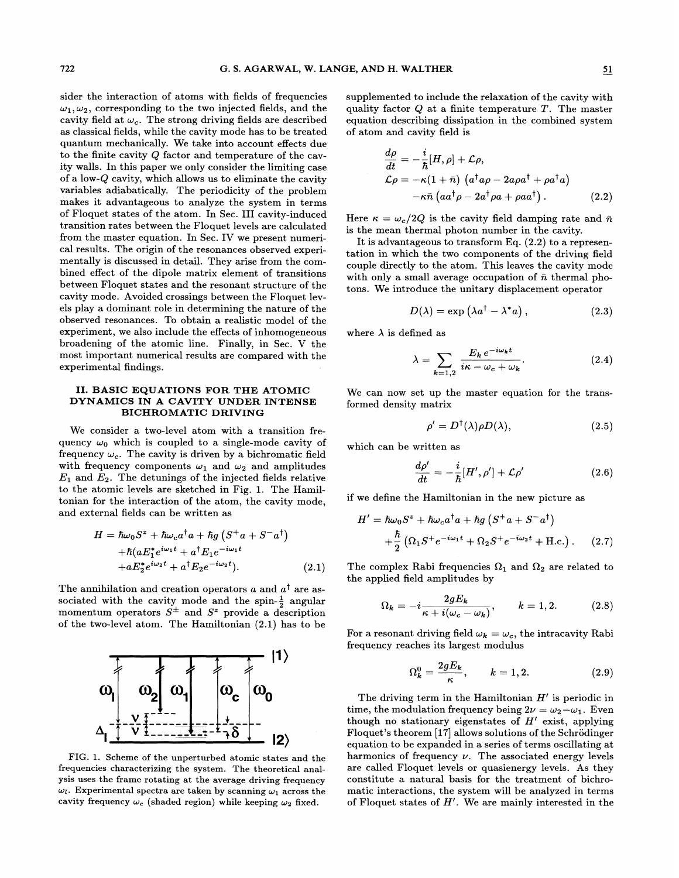sider the interaction of atoms with fields of frequencies  $\omega_1, \omega_2$ , corresponding to the two injected fields, and the cavity field at  $\omega_c$ . The strong driving fields are described as classical fields, while the cavity mode has to be treated quantum mechanically. We take into account effects due to the finite cavity Q factor and temperature of the cavity walls. In this paper we only consider the limiting case of a low-Q cavity, which allows us to eliminate the cavity variables adiabatically. The periodicity of the problem makes it advantageous to analyze the system in terms of Floquet states of the atom. In Sec. III cavity-induced transition rates between the Floquet levels are calculated from the master equation. In Sec. IV we present numerical results. The origin of the resonances observed experimentally is discussed in detail. They arise from the combined effect of the dipole matrix element of transitions between Floquet states and the resonant structure of the cavity mode. Avoided crossings between the Floquet levels play a dominant role in determining the nature of the observed resonances. To obtain a realistic model of the experiment, we also include the effects of inhomogeneous broadening of the atomic line. Finally, in Sec. V the most important numerical results are compared with the experimental findings.

# II. BASIC EQUATIONS FOR THE ATOMIC DYNAMICS IN A CAVITY UNDER INTENSE BICHROMATIC DRIVING

We consider a two-level atom with a transition frequency  $\omega_0$  which is coupled to a single-mode cavity of frequency  $\omega_c$ . The cavity is driven by a bichromatic field with frequency components  $\omega_1$  and  $\omega_2$  and amplitudes  $E_1$  and  $E_2$ . The detunings of the injected fields relative to the atomic levels are sketched in Fig. 1. The Hamiltonian for the interaction of the atom, the cavity mode, and external fields can be written as

$$
H = \hbar\omega_0 S^z + \hbar\omega_c a^\dagger a + \hbar g \left( S^+ a + S^- a^\dagger \right)
$$
  
+ 
$$
\hbar (a E_1^* e^{i\omega_1 t} + a^\dagger E_1 e^{-i\omega_1 t}
$$
  
+ 
$$
a E_2^* e^{i\omega_2 t} + a^\dagger E_2 e^{-i\omega_2 t} ). \tag{2.1}
$$

The annihilation and creation operators a and  $a^{\dagger}$  are associated with the cavity mode and the spin- $\frac{1}{2}$  angular momentum operators  $S^{\pm}$  and  $S^z$  provide a description of the two-level atom. The Hamiltonian (2.1) has to be



FIG. 1. Scheme of the unperturbed atomic states and the frequencies characterizing the system. The theoretical analysis uses the frame rotating at the average driving frequency  $\omega_l$ . Experimental spectra are taken by scanning  $\omega_1$  across the cavity frequency  $\omega_c$  (shaded region) while keeping  $\omega_2$  fixed.

supplemented to include the relaxation of the cavity with quality factor  $Q$  at a finite temperature  $T$ . The master equation describing dissipation in the combined system of atom and cavity field is

$$
\frac{d\rho}{dt} = -\frac{i}{\hbar}[H,\rho] + \mathcal{L}\rho,
$$
  
\n
$$
\mathcal{L}\rho = -\kappa(1+\bar{n}) \left( a^{\dagger}a\rho - 2a\rho a^{\dagger} + \rho a^{\dagger}a \right)
$$
  
\n
$$
-\kappa\bar{n} \left( a a^{\dagger}\rho - 2a^{\dagger}\rho a + \rho a a^{\dagger} \right).
$$
 (2.2)

Here  $\kappa = \omega_c / 2Q$  is the cavity field damping rate and  $\bar{n}$ is the mean thermal photon number in the cavity.

It is advantageous to transform Eq. (2.2) to a representation in which the two components of the driving field couple directly to the atom. This leaves the cavity mode with only a small average occupation of  $\bar{n}$  thermal photons. We introduce the unitary displacement operator

$$
D(\lambda) = \exp\left(\lambda a^{\dagger} - \lambda^* a\right), \qquad (2.3)
$$

where  $\lambda$  is defined as

$$
\lambda = \sum_{k=1,2} \frac{E_k e^{-i\omega_k t}}{i\kappa - \omega_c + \omega_k}.
$$
 (2.4)

We can now set up the master equation for the transformed density matrix

$$
\rho' = D^{\dagger}(\lambda)\rho D(\lambda), \qquad (2.5)
$$

which can be written as

$$
\frac{d\rho'}{dt} = -\frac{i}{\hbar}[H',\rho'] + \mathcal{L}\rho' \tag{2.6}
$$

if we define the Hamiltonian in the new picture as

$$
H' = \hbar\omega_0 S^z + \hbar\omega_c a^\dagger a + \hbar g \left( S^+ a + S^- a^\dagger \right)
$$
  
+ 
$$
\frac{\hbar}{2} \left( \Omega_1 S^+ e^{-i\omega_1 t} + \Omega_2 S^+ e^{-i\omega_2 t} + \text{H.c.} \right). \tag{2.7}
$$

The complex Rabi frequencies  $\Omega_1$  and  $\Omega_2$  are related to the applied field amplitudes by

$$
\Omega_k = -i \frac{2gE_k}{\kappa + i(\omega_c - \omega_k)}, \qquad k = 1, 2. \tag{2.8}
$$

For a resonant driving field  $\omega_k = \omega_c$ , the intracavity Rabi frequency reaches its largest modulus

$$
\Omega_k^0 = \frac{2gE_k}{\kappa}, \qquad k = 1, 2. \tag{2.9}
$$

The driving term in the Hamiltonian  $H'$  is periodic in time, the modulation frequency being  $2\nu = \omega_2 - \omega_1$ . Even though no stationary eigenstates of  $H'$  exist, applying Floquet's theorem [17] allows solutions of the Schrodinger equation to be expanded in a series of terms oscillating at harmonics of frequency  $\nu$ . The associated energy levels are called Floquet levels or quasienergy levels. As they constitute a natural basis for the treatment of bichromatic interactions, the system will be analyzed in terms of Floquet states of  $H'$ . We are mainly interested in the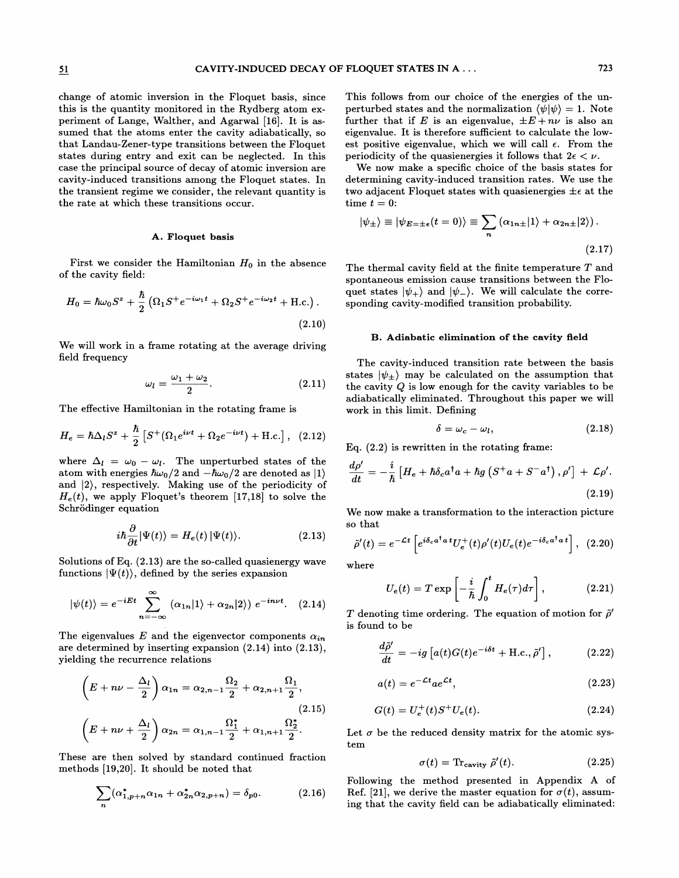change of atomic inversion in the Floquet basis, since this is the quantity monitored in the Rydberg atom experiment of Lange, Walther, and Agarwal [16]. It is assumed that the atoms enter the cavity adiabatically, so that Landau-Zener-type transitions between the Floquet states during entry and exit can be neglected. In this case the principal source of decay of atomic inversion are cavity-induced transitions among the Floquet states. In the transient regime we consider, the relevant quantity is the rate at which these transitions occur.

#### A. Floquet basis

First we consider the Hamiltonian  $H_0$  in the absence of the cavity field:

$$
H_0 = \hbar\omega_0 S^z + \frac{\hbar}{2} \left( \Omega_1 S^+ e^{-i\omega_1 t} + \Omega_2 S^+ e^{-i\omega_2 t} + \text{H.c.} \right). \tag{2.10}
$$

We will work in a frame rotating at the average driving field frequency

$$
\omega_l = \frac{\omega_1 + \omega_2}{2}.\tag{2.11}
$$

The effective Hamiltonian in the rotating frame is

$$
H_e = \hbar \Delta_l S^z + \frac{\hbar}{2} \left[ S^+ (\Omega_1 e^{i\nu t} + \Omega_2 e^{-i\nu t}) + \text{H.c.} \right], \quad (2.12)
$$

where  $\Delta_l = \omega_0 - \omega_l$ . The unperturbed states of the atom with energies  $\hbar\omega_0/2$  and  $-\hbar\omega_0/2$  are denoted as  $|1\rangle$ and l2), respectively. Making use of the periodicity of  $H_e(t)$ , we apply Floquet's theorem [17,18] to solve the Schrödinger equation

$$
i\hbar \frac{\partial}{\partial t} |\Psi(t)\rangle = H_e(t) |\Psi(t)\rangle.
$$
 (2.13)

Solutions of Eq. (2.13) are the so-called quasienergy wave functions  $|\Psi(t)\rangle$ , defined by the series expansion

$$
|\psi(t)\rangle = e^{-iEt} \sum_{n=-\infty}^{\infty} (\alpha_{1n}|1\rangle + \alpha_{2n}|2\rangle) e^{-in\nu t}.
$$
 (2.14)

The eigenvalues E and the eigenvector components  $\alpha_{in}$ are determined by inserting expansion (2.14) into (2.13), yielding the recurrence relations

$$
\left(E + n\nu - \frac{\Delta_l}{2}\right)\alpha_{1n} = \alpha_{2,n-1}\frac{\Omega_2}{2} + \alpha_{2,n+1}\frac{\Omega_1}{2},
$$
\n
$$
\left(E + n\nu + \frac{\Delta_l}{2}\right)\alpha_{2n} = \alpha_{1,n-1}\frac{\Omega_1^*}{2} + \alpha_{1,n+1}\frac{\Omega_2^*}{2}.
$$
\n(2.15)

These are then solved by standard continued fraction  $\sigma(t) = \text{Tr}_{\text{cavity}} \tilde{\rho}'(t)$ . (2.25)<br>methods [19,20]. It should be noted that

$$
\sum_{n} (\alpha_{1,p+n}^{*} \alpha_{1n} + \alpha_{2n}^{*} \alpha_{2,p+n}) = \delta_{p0}.
$$
 (2.16)

This follows from our choice of the energies of the unperturbed states and the normalization  $\langle \psi | \psi \rangle = 1$ . Note further that if E is an eigenvalue,  $\pm E + n\nu$  is also an eigenvalue. It is therefore sufficient to calculate the lowest positive eigenvalue, which we will call  $\epsilon$ . From the periodicity of the quasienergies it follows that  $2\epsilon < \nu$ .

We now make a specific choice of the basis states for determining cavity-induced transition rates. We use the two adjacent Floquet states with quasienergies  $\pm \epsilon$  at the time  $t = 0$ :

$$
|\psi_{\pm}\rangle \equiv |\psi_{E=\pm\epsilon}(t=0)\rangle \equiv \sum_{n} (\alpha_{1n\pm}|1\rangle + \alpha_{2n\pm}|2\rangle).
$$
\n(2.17)

The thermal cavity field at the finite temperature  $T$  and spontaneous emission cause transitions between the Floquet states  $|\psi_+\rangle$  and  $|\psi_-\rangle$ . We will calculate the corresponding cavity-modified transition probability.

#### B. Adiabatic elimination of the cavity field

The cavity-induced transition rate between the basis states  $|\psi_+\rangle$  may be calculated on the assumption that the cavity Q is low enough for the cavity variables to be adiabatically eliminated. Throughout this paper we will work in this limit. Defining

$$
\delta = \omega_c - \omega_l, \tag{2.18}
$$

Eq.  $(2.2)$  is rewritten in the rotating frame:

$$
\frac{d\rho'}{dt} = -\frac{i}{\hbar} \left[ H_e + \hbar \delta_c a^\dagger a + \hbar g \left( S^+ a + S^- a^\dagger \right), \rho' \right] + \mathcal{L} \rho'.
$$
\n(2.19)

We now make a transformation to the interaction picture so that

$$
\tilde{\rho}'(t) = e^{-\mathcal{L}t} \left[ e^{i\delta_c a^\dagger a} U_e^+(t) \rho'(t) U_e(t) e^{-i\delta_c a^\dagger a} \right], \tag{2.20}
$$

where

$$
U_e(t) = T \exp\left[-\frac{i}{\hbar} \int_0^t H_e(\tau) d\tau\right],
$$
 (2.21)

T denoting time ordering. The equation of motion for  $\tilde{\rho}'$ is found to be

$$
\frac{d\tilde{\rho}'}{dt} = -ig\left[a(t)G(t)e^{-i\delta t} + \text{H.c.}, \tilde{\rho}'\right],\tag{2.22}
$$

$$
a(t) = e^{-\mathcal{L}t}ae^{\mathcal{L}t},\qquad(2.23)
$$

(2.15) 
$$
G(t) = U_e^+(t)S^+U_e(t).
$$
 (2.24)

Let  $\sigma$  be the reduced density matrix for the atomic system

$$
\sigma(t) = \text{Tr}_{\text{cavity}} \tilde{\rho}'(t). \tag{2.25}
$$

Following the method presented in Appendix A of Ref. [21], we derive the master equation for  $\sigma(t)$ , assuming that the cavity field can be adiabatically eliminated: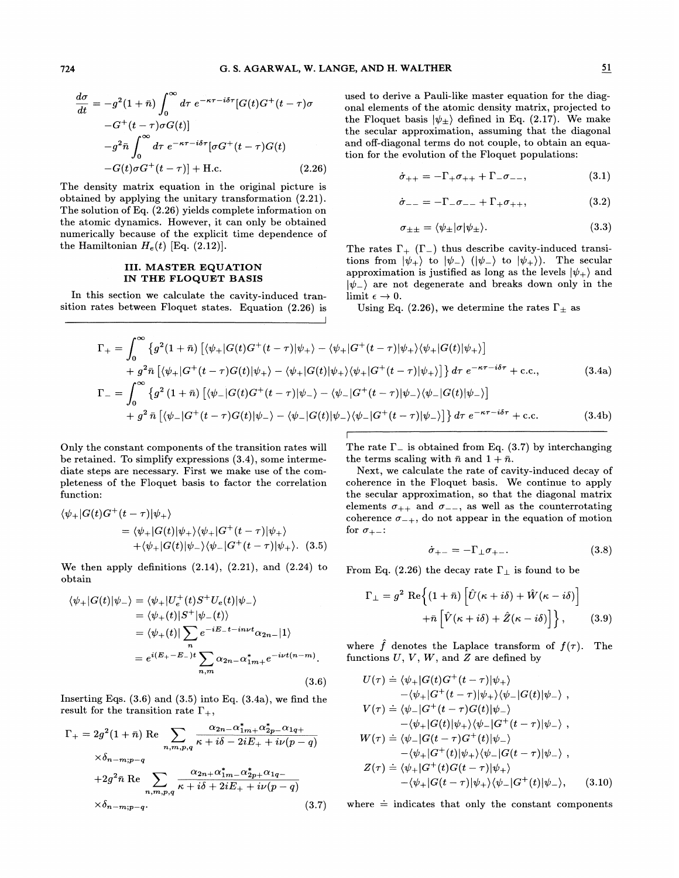$$
\frac{d\sigma}{dt} = -g^2(1+\bar{n}) \int_0^\infty d\tau \ e^{-\kappa \tau - i\delta \tau} [G(t)G^+(t-\tau)\sigma
$$

$$
-G^+(t-\tau)\sigma G(t)]
$$

$$
-g^2 \bar{n} \int_0^\infty d\tau \ e^{-\kappa \tau - i\delta \tau} [\sigma G^+(t-\tau)G(t)
$$

$$
-G(t)\sigma G^+(t-\tau)] + \text{H.c.}
$$
(2.26)

The density matrix equation in the original picture is obtained by applying the unitary transformation (2.21). The solution of Eq. (2.26) yields complete information on the atomic dynamics. However, it can only be obtained numerically because of the explicit time dependence of the Hamiltonian  $H_e(t)$  [Eq. (2.12)].

### III. MASTER EQUATION IN THE FLOQUET BASIS

In this section we calculate the cavity-induced transition rates between Floquet states. Equation (2.26) is used to derive a Pauli-like master equation for the diagonal elements of the atomic density matrix, projected to the Floquet basis  $|\psi_{\pm}\rangle$  defined in Eq. (2.17). We make the secular approximation, assuming that the diagonal and off-diagonal terms do not couple, to obtain an equation for the evolution of the Floquet populations:

$$
\dot{\sigma}_{++} = -\Gamma_{+}\sigma_{++} + \Gamma_{-}\sigma_{--}, \qquad (3.1)
$$

$$
\dot{\sigma}_{--} = -\Gamma_{-}\sigma_{--} + \Gamma_{+}\sigma_{++}, \qquad (3.2)
$$

$$
\sigma_{\pm\pm} = \langle \psi_{\pm} | \sigma | \psi_{\pm} \rangle. \tag{3.3}
$$

The rates  $\Gamma_{+}$  ( $\Gamma_{-}$ ) thus describe cavity-induced transi $t_{\text{D}}$  ions from  $|\psi_{+}\rangle$  to  $|\psi_{-}\rangle$   $(|\psi_{-}\rangle$  to  $|\psi_{+}\rangle$ ). The secular approximation is justified as long as the levels  $|\psi_+\rangle$  and ) are not degenerate and breaks down only in the limit  $\epsilon \to 0$ .

Using Eq. (2.26), we determine the rates  $\Gamma_{\pm}$  as

$$
\Gamma_{+} = \int_{0}^{\infty} \left\{ g^{2}(1+\bar{n}) \left[ \langle \psi_{+} | G(t)G^{+}(t-\tau) | \psi_{+} \rangle - \langle \psi_{+} | G^{+}(t-\tau) | \psi_{+} \rangle \langle \psi_{+} | G(t) | \psi_{+} \rangle \right] \right. \\ \left. + g^{2}\bar{n} \left[ \langle \psi_{+} | G^{+}(t-\tau)G(t) | \psi_{+} \rangle - \langle \psi_{+} | G(t) | \psi_{+} \rangle \langle \psi_{+} | G^{+}(t-\tau) | \psi_{+} \rangle \right] \right\} d\tau \ e^{-\kappa \tau - i\delta \tau} + \text{c.c.}, \tag{3.4a}
$$
\n
$$
\Gamma_{-} = \int_{0}^{\infty} \left\{ g^{2}(1+\bar{n}) \left[ \langle \psi_{-} | G(t)G^{+}(t-\tau) | \psi_{-} \rangle - \langle \psi_{-} | G^{+}(t-\tau) | \psi_{-} \rangle \langle \psi_{-} | G(t) | \psi_{-} \rangle \right] \right\} d\tau \ e^{-\kappa \tau - i\delta \tau} + \text{c.c.} \tag{3.4b}
$$

Only the constant components of the transition rates will be retained. To simplify expressions (3.4), some intermediate steps are necessary. First we make use of the completeness of the Floquet basis to factor the correlation function:

$$
\langle \psi_+|G(t)G^+(t-\tau)|\psi_+\rangle
$$
  
=  $\langle \psi_+|G(t)|\psi_+\rangle\langle \psi_+|G^+(t-\tau)|\psi_+\rangle$   
+ $\langle \psi_+|G(t)|\psi_-\rangle\langle \psi_-|G^+(t-\tau)|\psi_+\rangle.$  (3.5)

We then apply definitions  $(2.14)$ ,  $(2.21)$ , and  $(2.24)$  to obtain

$$
\langle \psi_{+}|G(t)|\psi_{-}\rangle = \langle \psi_{+}|U_{e}^{+}(t)S^{+}U_{e}(t)|\psi_{-}\rangle
$$
  
\n
$$
= \langle \psi_{+}(t)|S^{+}|\psi_{-}(t)\rangle
$$
  
\n
$$
= \langle \psi_{+}(t)|\sum_{n} e^{-iE_{-}t-in\nu t}\alpha_{2n-}|1\rangle
$$
  
\n
$$
= e^{i(E_{+}-E_{-})t}\sum_{n,m}\alpha_{2n-}\alpha_{1m+}^{*}e^{-i\nu t(n-m)}.
$$
\n(3.6)

Inserting Eqs.  $(3.6)$  and  $(3.5)$  into Eq.  $(3.4a)$ , we find the result for the transition rate  $\Gamma_{+}$ ,

$$
\Gamma_{+} = 2g^{2}(1+\bar{n}) \operatorname{Re} \sum_{n,m,p,q} \frac{\alpha_{2n} - \alpha_{1m+1}^{*} \alpha_{2p}^{*} - \alpha_{1q+1}}{\kappa + i\delta - 2iE_{+} + i\nu(p-q)}
$$
  
 
$$
\times \delta_{n-m;p-q}
$$
  
+2g^{2}\bar{n} \operatorname{Re} \sum\_{n,m,p,q} \frac{\alpha\_{2n+1}\alpha\_{1m-1}^{\*} \alpha\_{2p+1}^{\*} \alpha\_{1q-1}}{\kappa + i\delta + 2iE\_{+} + i\nu(p-q)}  

$$
\times \delta_{n-m;p-q}.
$$
  
(3.7)

The rate  $\Gamma_{-}$  is obtained from Eq. (3.7) by interchanging the terms scaling with  $\bar{n}$  and  $1+\bar{n}$ .

Next, we calculate the rate of cavity-induced decay of coherence in the Floquet basis. We continue to apply the secular approximation, so that the diagonal matrix<br>elements  $\sigma_{++}$  and  $\sigma_{--}$ , as well as the counterrotating<br>exhauster of matigmatic properties coherence  $\sigma_{-+}$ , do not appear in the equation of motion for  $\sigma_{+-}$ :

$$
\dot{\sigma}_{+-} = -\Gamma_{\perp}\sigma_{+-}.\tag{3.8}
$$

From Eq. (2.26) the decay rate  $\Gamma_{\perp}$  is found to be

$$
\Gamma_{\perp} = g^2 \text{ Re} \left\{ (1 + \bar{n}) \left[ \hat{U}(\kappa + i\delta) + \hat{W}(\kappa - i\delta) \right] + \bar{n} \left[ \hat{V}(\kappa + i\delta) + \hat{Z}(\kappa - i\delta) \right] \right\}, \qquad (3.9)
$$

where  $\hat{f}$  denotes the Laplace transform of  $f(\tau)$ . The functions  $U, V, W$ , and  $Z$  are defined by

$$
U(\tau) \doteq \langle \psi_+|G(t)G^+(t-\tau)|\psi_+\rangle
$$
  
\n
$$
-\langle \psi_+|G^+(t-\tau)|\psi_+\rangle\langle \psi_-|G(t)|\psi_-\rangle ,
$$
  
\n
$$
V(\tau) \doteq \langle \psi_-|G^+(t-\tau)G(t)|\psi_-\rangle
$$
  
\n
$$
-\langle \psi_+|G(t)|\psi_+\rangle\langle \psi_-|G^+(t-\tau)|\psi_-\rangle ,
$$
  
\n
$$
W(\tau) \doteq \langle \psi_-|G(t-\tau)G^+(t)|\psi_-\rangle
$$
  
\n
$$
-\langle \psi_+|G^+(t)|\psi_+\rangle\langle \psi_-|G(t-\tau)|\psi_-\rangle ,
$$
  
\n
$$
Z(\tau) \doteq \langle \psi_+|G^+(t)G(t-\tau)|\psi_+\rangle
$$
  
\n
$$
-\langle \psi_+|G(t-\tau)|\psi_+\rangle\langle \psi_-|G^+(t)|\psi_-\rangle ,
$$
  
\n(3.10)

where  $\dot{=}$  indicates that only the constant components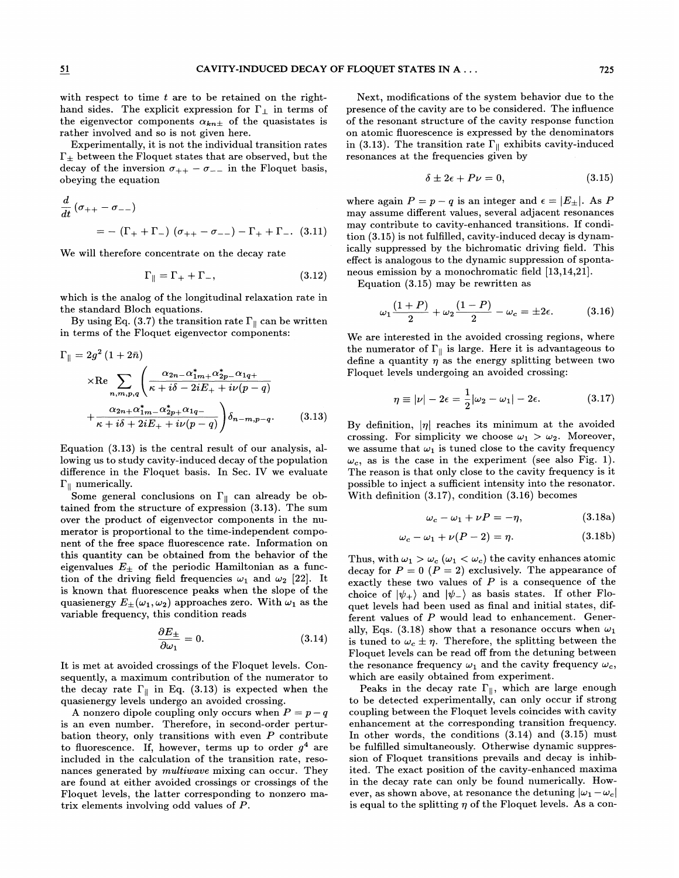with respect to time  $t$  are to be retained on the righthand sides. The explicit expression for  $\Gamma_{\perp}$  in terms of the eigenvector components  $\alpha_{kn\pm}$  of the quasistates is rather involved and so is not given here.

Experimentally, it is not the individual transition rates  $\Gamma_{\pm}$  between the Floquet states that are observed, but the decay of the inversion  $\sigma_{++} - \sigma_{--}$  in the Floquet basis, obeying the equation  $\delta \pm 2\epsilon + P\nu = 0$ , (3.15)

$$
\frac{d}{dt} (\sigma_{++} - \sigma_{--})
$$
  
= - (\Gamma\_{+} + \Gamma\_{-}) (\sigma\_{++} - \sigma\_{--}) - \Gamma\_{+} + \Gamma\_{--} (3.11)

We will therefore concentrate on the decay rate

$$
\Gamma_{\parallel} = \Gamma_{+} + \Gamma_{-}, \qquad (3.12)
$$

which is the analog of the longitudinal relaxation rate in the standard Bloch equations.

By using Eq. (3.7) the transition rate  $\Gamma_{\parallel}$  can be written in terms of the Floquet eigenvector components:

$$
\Gamma_{\parallel} = 2g^{2} (1 + 2\bar{n})
$$
\n
$$
\times \text{Re} \sum_{n,m,p,q} \left( \frac{\alpha_{2n} - \alpha_{1m+1}^{*} \alpha_{2p}^{*} - \alpha_{1q+1}}{\kappa + i\delta - 2iE_{+} + i\nu(p-q)} + \frac{\alpha_{2n+1} \alpha_{1m}^{*} - \alpha_{2p+1}^{*} \alpha_{1q-1}}{\kappa + i\delta + 2iE_{+} + i\nu(p-q)} \right) \delta_{n-m,p-q}.
$$
\n(3.13)

Equation (3.13) is the central result of our analysis, allowing us to study cavity-induced decay of the population difference in the Floquet basis. In Sec. IV we evaluate  $\Gamma_{\parallel}$  numerically.

Some general conclusions on  $\Gamma_{\parallel}$  can already be obtained from the structure of expression (3.13). The sum over the product of eigenvector components in the numerator is proportional to the time-independent component of the free space fluorescence rate. Information on this quantity can be obtained from the behavior of the eigenvalues  $E_{\pm}$  of the periodic Hamiltonian as a function of the driving field frequencies  $\omega_1$  and  $\omega_2$  [22]. It is known that Huorescence peaks when the slope of the quasienergy  $E_{\pm}(\omega_1, \omega_2)$  approaches zero. With  $\omega_1$  as the variable frequency, this condition reads

$$
\frac{\partial E_{\pm}}{\partial \omega_1} = 0. \tag{3.14}
$$

It is met at avoided crossings of the Floquet levels. Consequently, a maximum contribution of the numerator to the decay rate  $\Gamma_{\parallel}$  in Eq. (3.13) is expected when the quasienergy levels undergo an avoided crossing.

A nonzero dipole coupling only occurs when  $P = p - q$ is an even number. Therefore, in second-order perturbation theory, only transitions with even  $P$  contribute to fluorescence. If, however, terms up to order  $q<sup>4</sup>$  are included in the calculation of the transition rate, resonances generated by *multiwave* mixing can occur. They are found at either avoided crossings or crossings of the Floquet levels, the latter corresponding to nonzero matrix elements involving odd values of P.

Next, modifications of the system behavior due to the presence of the cavity are to be considered. The inHuence of the resonant structure of the cavity response function on atomic fluorescence is expressed by the denominators in (3.13). The transition rate  $\Gamma_{\parallel}$  exhibits cavity-induced resonances at the frequencies given by

$$
\delta \pm 2\epsilon + P\nu = 0,\tag{3.15}
$$

where again  $P = p - q$  is an integer and  $\epsilon = |E_{\pm}|$ . As P may assume different values, several adjacent resonances may contribute to cavity-enhanced transitions. If condition (3.15) is not fulfilled, cavity-induced decay is dynamically suppressed by the bichromatic driving field. This effect is analogous to the dynamic suppression of spontaneous emission by a monochromatic field [13,14,21).

Equation (3.15) may be rewritten as

$$
\omega_1 \frac{(1+P)}{2} + \omega_2 \frac{(1-P)}{2} - \omega_c = \pm 2\epsilon.
$$
 (3.16)

We are interested in the avoided crossing regions, where the numerator of  $\Gamma_{\parallel}$  is large. Here it is advantageous to define a quantity  $\eta$  as the energy splitting between two Floquet levels undergoing an avoided crossing:

$$
\eta \equiv |\nu| - 2\epsilon = \frac{1}{2} |\omega_2 - \omega_1| - 2\epsilon. \tag{3.17}
$$

By definition,  $|\eta|$  reaches its minimum at the avoided crossing. For simplicity we choose  $\omega_1 > \omega_2$ . Moreover, we assume that  $\omega_1$  is tuned close to the cavity frequency  $\omega_c$ , as is the case in the experiment (see also Fig. 1). The reason is that only close to the cavity frequency is it possible to inject a sufficient intensity into the resonator. With definition (3.17), condition (3.16) becomes

$$
\omega_c - \omega_1 + \nu P = -\eta, \qquad (3.18a)
$$

$$
\omega_c - \omega_1 + \nu(P - 2) = \eta. \tag{3.18b}
$$

Thus, with  $\omega_1 > \omega_c$   $(\omega_1 < \omega_c)$  the cavity enhances atomic decay for  $P = 0$   $(P = 2)$  exclusively. The appearance of exactly these two values of  $P$  is a consequence of the choice of  $|\psi_+\rangle$  and  $|\psi_-\rangle$  as basis states. If other Floquet levels had been used as final and initial states, different values of P would lead to enhancement. Generally, Eqs. (3.18) show that a resonance occurs when  $\omega_1$ is tuned to  $\omega_c \pm \eta$ . Therefore, the splitting between the Floquet levels can be read off from the detuning between the resonance frequency  $\omega_1$  and the cavity frequency  $\omega_c$ , which are easily obtained from experiment.

Peaks in the decay rate  $\Gamma_{\parallel}$ , which are large enough to be detected experimentally, can only occur if strong coupling between the Floquet levels coincides with cavity enhancement at the corresponding transition frequency. In other words, the conditions (3.14) and (3.15) must be fulfilled simultaneously. Otherwise dynamic suppression of Floquet transitions prevails and decay is inhibited. The exact position of the cavity-enhanced maxima in the decay rate can only be found numerically. However, as shown above, at resonance the detuning  $|\omega_1 - \omega_c|$ is equal to the splitting  $\eta$  of the Floquet levels. As a con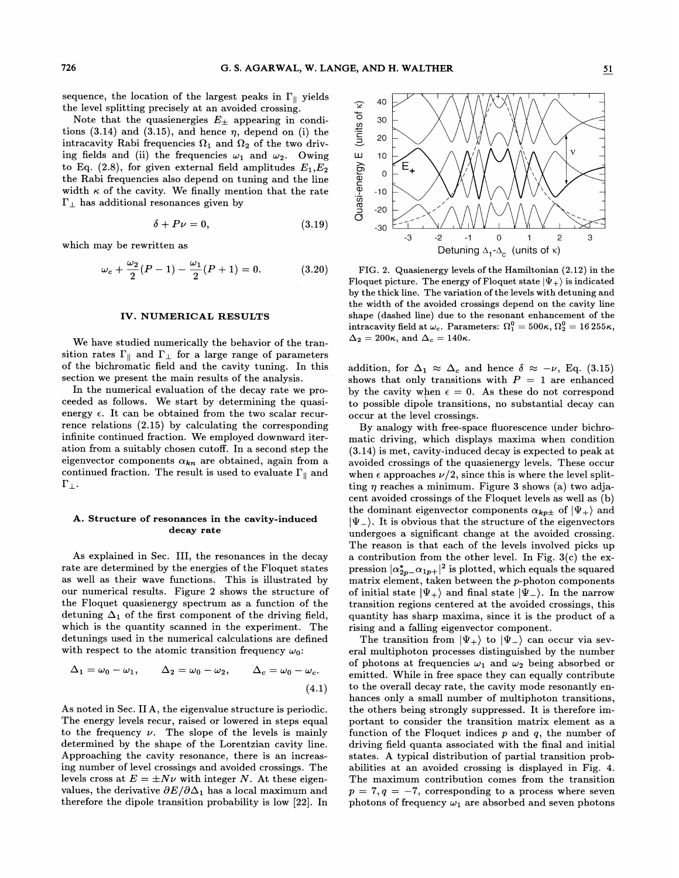sequence, the location of the largest peaks in  $\Gamma_{\parallel}$  yields the level splitting precisely at an avoided crossing.

Note that the quasienergies  $E_{\pm}$  appearing in conditions (3.14) and (3.15), and hence  $\eta$ , depend on (i) the intracavity Rabi frequencies  $\Omega_1$  and  $\Omega_2$  of the two driving fields and (ii) the frequencies  $\omega_1$  and  $\omega_2$ . Owing to Eq. (2.8), for given external field amplitudes  $E_1, E_2$ the Rabi frequencies also depend on tuning and the line width  $\kappa$  of the cavity. We finally mention that the rate  $\Gamma_{\perp}$  has additional resonances given by

$$
\delta + P\nu = 0, \tag{3.19}
$$

which may be rewritten as

$$
\omega_c + \frac{\omega_2}{2}(P - 1) - \frac{\omega_1}{2}(P + 1) = 0. \tag{3.20}
$$

### IV. NUMERICAL RESULTS

We have studied numerically the behavior of the transition rates  $\Gamma_{\parallel}$  and  $\Gamma_{\perp}$  for a large range of parameters of the bichromatic field and the cavity tuning. In this section we present the main results of the analysis.

In the numerical evaluation of the decay rate we proceeded as follows. We start by determining the quasienergy  $\epsilon$ . It can be obtained from the two scalar recurrence relations (2.15) by calculating the corresponding infinite continued fraction. We employed downward iteration from a suitably chosen cutofF. In a second step the eigenvector components  $\alpha_{kn}$  are obtained, again from a continued fraction. The result is used to evaluate  $\Gamma_{\parallel}$  and  $\Gamma_{\perp}$ .

# A. Structure of resonances in the cavity-induced decay rate

As explained in Sec. III, the resonances in the decay rate are determined by the energies of the Floquet states as well as their wave functions. This is illustrated by our numerical results. Figure 2 shows the structure of the Floquet quasienergy spectrum as a function of the detuning  $\Delta_1$  of the first component of the driving field, which is the quantity scanned in the experiment. The detunings used in the numerical calculations are defined with respect to the atomic transition frequency  $\omega_0$ .

$$
\Delta_1 = \omega_0 - \omega_1, \qquad \Delta_2 = \omega_0 - \omega_2, \qquad \Delta_c = \omega_0 - \omega_c.
$$
\n(4.1)

As noted in Sec. II A, the eigenvalue structure is periodic. The energy levels recur, raised or lowered in steps equal to the frequency  $\nu$ . The slope of the levels is mainly determined by the shape of the Lorentzian cavity line. determined by the snape of the Lorentzian cavity line.<br>Approaching the cavity resonance, there is an increas-<br>ing number of level crossings and avoided crossings. The<br>levels cross at  $E = \pm N\nu$  with integer N. At these eig ing number of level crossings and avoided crossings. The levels cross at  $E = \pm N \nu$  with integer N. At these eigenvalues, the derivative  $\partial E/\partial \Delta_1$  has a local maximum and therefore the dipole transition probability is low [22]. In



FIG. 2. Quasienergy levels of the Hamiltonian (2.12) in the Floquet picture. The energy of Floquet state  $|\Psi_+\rangle$  is indicated by the thick line. The variation of the levels with detuning and the width of the avoided crossings depend on the cavity line shape (dashed line) due to the resonant enhancement of the intracavity field at  $\omega_c$ . Parameters:  $\Omega_1^0 = 500\kappa, \Omega_2^0 = 16\,255\kappa,$  $\Delta_2 = 200\kappa$ , and  $\Delta_c = 140\kappa$ .

addition, for  $\Delta_1 \approx \Delta_c$  and hence  $\delta \approx -\nu$ , Eq. (3.15) shows that only transitions with  $P = 1$  are enhanced by the cavity when  $\epsilon = 0$ . As these do not correspond to possible dipole transitions, no substantial decay can occur at the level crossings.

By analogy with free-space Huorescence under bichromatic driving, which displays maxima when condition (3.14) is met, cavity-induced decay is expected to peak at avoided crossings of the quasienergy levels. These occur when  $\epsilon$  approaches  $\nu/2$ , since this is where the level splitting  $\eta$  reaches a minimum. Figure 3 shows (a) two adjacent avoided crossings of the Floquet levels as well as (b) the dominant eigenvector components  $\alpha_{kp\pm}$  of  $|\Psi_+\rangle$  and  $|\Psi_{-}\rangle$ . It is obvious that the structure of the eigenvectors undergoes a significant change at the avoided crossing. The reason is that each of the levels involved picks up a contribution from the other level. In Fig.  $3(c)$  the ex- $\lvert \text{pression} \rvert \alpha^*_{2p-}\alpha_{1p+} \rvert^2 \text{ is plotted, which equals the squared}$ matrix element, taken between the p-photon components of initial state  $|\Psi_+\rangle$  and final state  $|\Psi_-\rangle$ . In the narrow transition regions centered at the avoided crossings, this quantity has sharp maxima, since it is the product of a rising and a falling eigenvector component.

The transition from  $|\Psi_+\rangle$  to  $|\Psi_-\rangle$  can occur via several multiphoton processes distinguished by the number of photons at frequencies  $\omega_1$  and  $\omega_2$  being absorbed or emitted. While in free space they can equally contribute to the overall decay rate, the cavity mode resonantly enhances only a small number of multiphoton transitions, the others being strongly suppressed. It is therefore important to consider the transition matrix element as a function of the Floquet indices  $p$  and  $q$ , the number of driving field quanta associated with the final and initial states. A typical distribution of partial transition probabilities at an avoided crossing is displayed in Fig. 4. The maximum contribution comes from the transition  $p = 7, q = -7$ , corresponding to a process where seven photons of frequency  $\omega_1$  are absorbed and seven photons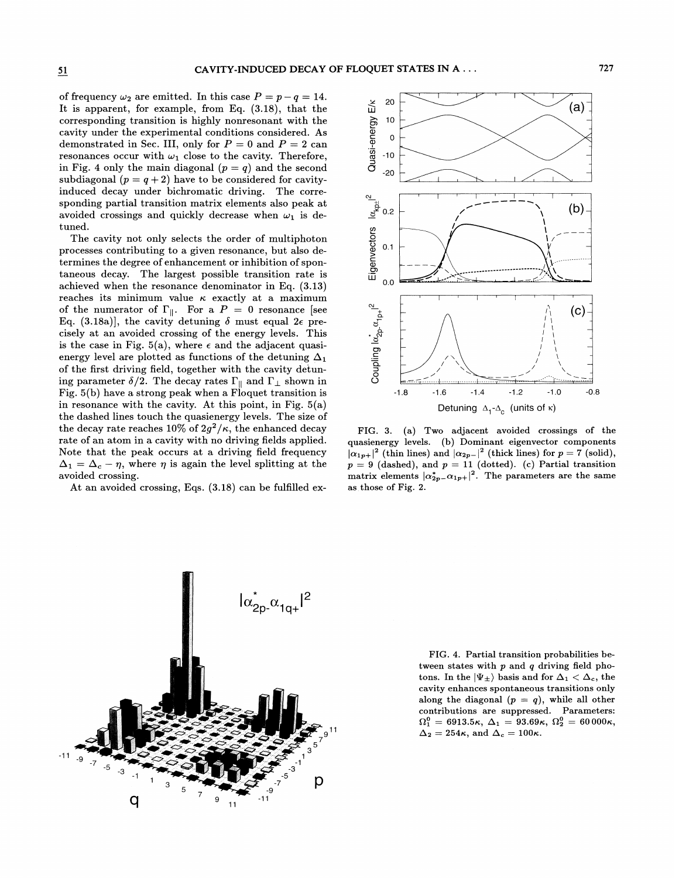of frequency  $\omega_2$  are emitted. In this case  $P = p - q = 14$ . It is apparent, for example, from Eq. (3.18), that the corresponding transition is highly nonresonant with the cavity under the experimental conditions considered. As demonstrated in Sec. III, only for  $P = 0$  and  $P = 2$  can resonances occur with  $\omega_1$  close to the cavity. Therefore, in Fig. 4 only the main diagonal  $(p = q)$  and the second subdiagonal  $(p = q + 2)$  have to be considered for cavityinduced decay under bichromatic driving. The corre-

avoided crossings and quickly decrease when  $\omega_1$  is detuned. The cavity not only selects the order of multiphoton processes contributing to a given resonance, but also determines the degree of enhancement or inhibition of spontaneous decay. The largest possible transition rate is achieved when the resonance denominator in Eq. (3.13) reaches its minimum value  $\kappa$  exactly at a maximum of the numerator of  $\Gamma_{\parallel}$ . For a  $P = 0$  resonance [see Eq. (3.18a)], the cavity detuning  $\delta$  must equal  $2\epsilon$  precisely at an avoided crossing of the energy levels. This is the case in Fig. 5(a), where  $\epsilon$  and the adjacent quasienergy level are plotted as functions of the detuning  $\Delta_1$ of the first driving field, together with the cavity detuning parameter  $\delta/2.$  The decay rates  $\Gamma_{\parallel}$  and  $\Gamma_{\perp}$  shown in Fig. 5(b) have a strong peak when a Floquet transition is in resonance with the cavity. At this point, in Fig.  $5(a)$ the dashed lines touch the quasienergy levels. The size of the decay rate reaches 10% of  $2g^2/\kappa$ , the enhanced decay rate of an atom in a cavity with no driving fields applied. Note that the peak occurs at a driving field frequency  $\Delta_1 = \Delta_c - \eta$ , where  $\eta$  is again the level splitting at the avoided crossing.

sponding partial transition matrix elements also peak at

At an avoided crossing, Eqs. (3.18) can be fulfilled ex-



FIG. 3. (a) Two adjacent avoided crossings of the quasienergy levels. (b) Dominant eigenvector components  $\alpha_{1p+}|^2$  (thin lines) and  $\alpha_{2p-}|^2$  (thick lines) for  $p = 7$  (solid),  $p = 9$  (dashed), and  $p = 11$  (dotted). (c) Partial transition matrix elements  $|\alpha_{2p-}^*\alpha_{1p+}|^2$ . The parameters are the same as those of Fig. 2.



FIG. 4. Partial transition probabilities between states with  $p$  and  $q$  driving field photons. In the  $|\Psi_{\pm}\rangle$  basis and for  $\Delta_1 < \Delta_c$ , the cavity enhances spontaneous transitions only along the diagonal  $(p = q)$ , while all other contributions are suppressed. Parameters: Ontributions are suppressed. Tarameters.<br>  $\Omega_1^0 = 6913.5\kappa, \ \Delta_1 = 93.69\kappa, \ \Omega_2^0 = 60\,000\kappa,$  $\Delta_2 = 254\kappa$ , and  $\Delta_c = 100\kappa$ .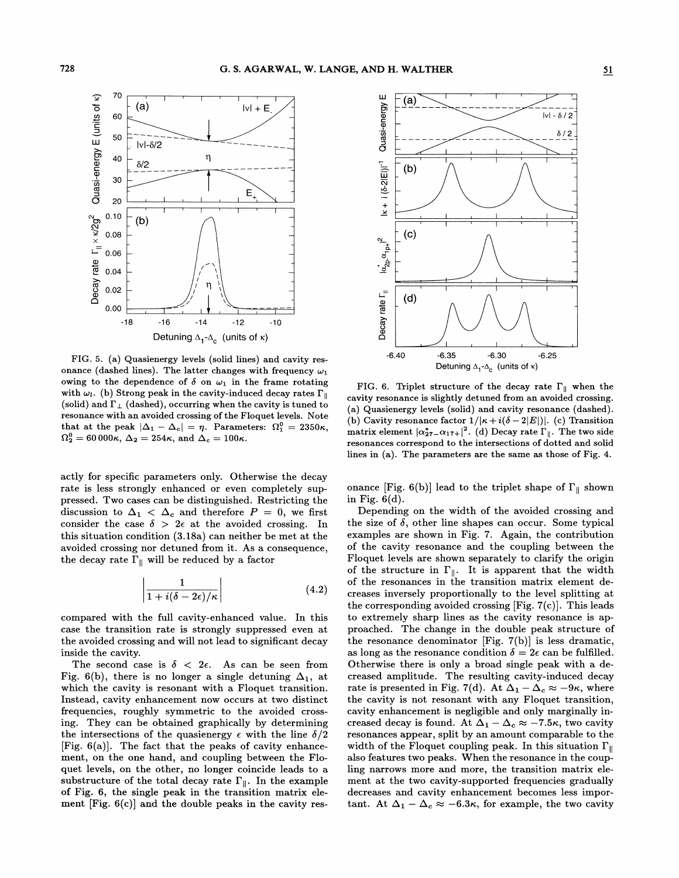

FIG. 5. (a) Quasienergy levels (solid lines) and cavity resonance (dashed lines). The latter changes with frequency  $\omega_1$ owing to the dependence of  $\delta$  on  $\omega_1$  in the frame rotating with  $\omega_l$ . (b) Strong peak in the cavity-induced decay rates  $\Gamma_{\parallel}$ (solid) and  $\Gamma_{\perp}$  (dashed), occurring when the cavity is tuned to resonance with an avoided crossing of the Floquet levels. Note that at the peak  $|\Delta_1 - \Delta_c| = \eta$ . Parameters:  $\Omega_1^0 = 2350\kappa$ ,  $\Omega_2^0 = 60\,000\kappa, \Delta_2 = 254\kappa, \text{ and } \Delta_c = 100\kappa.$ 

actly for specific parameters only. Otherwise the decay rate is less strongly enhanced or even completely suppressed. Two cases can be distinguished. Restricting the pressed. Two cases can be distinguished. Restricting the discussion to  $\Delta_1 < \Delta_c$  and therefore  $P = 0$ , we first discussion to  $\Delta_1 < \Delta_c$  and therefore  $P = 0$ , we first consider the case  $\delta > 2\epsilon$  at the avoided crossing. In this situation condition (3.18a) can neither be met at the avoided crossing nor detuned from it. As a consequence, the decay rate  $\Gamma_{\parallel}$  will be reduced by a factor

$$
\left|\frac{1}{1+i(\delta-2\epsilon)/\kappa}\right| \tag{4.2}
$$

compared with the full cavity-enhanced value. In this case the transition rate is strongly suppressed even at the avoided crossing and will not lead to significant decay inside the cavity.

The second case is  $\delta$  < 2 $\epsilon$ . As can be seen from Fig. 6(b), there is no longer a single detuning  $\Delta_1$ , at which the cavity is resonant with a Floquet transition. Instead, cavity enhancement now occurs at two distinct frequencies, roughly symmetric to the avoided crossing. They can be obtained graphically by determining the intersections of the quasienergy  $\epsilon$  with the line  $\delta/2$ [Fig.  $6(a)$ ]. The fact that the peaks of cavity enhancement, on the one hand, and coupling between the Floquet levels, on the other, no longer coincide leads to a substructure of the total decay rate  $\Gamma_{\parallel}$ . In the example of Fig. 6, the single peak in the transition matrix element  $[Fig. 6(c)]$  and the double peaks in the cavity res-



FIG. 6. Triplet structure of the decay rate  $\Gamma_{\parallel}$  when the cavity resonance is slightly detuned from an avoided crossing. (a) Quasienergy levels (solid) and cavity resonance (dashed). (b) Cavity resonance factor  $1/|\kappa+i(\delta-2|E|)|$ . (c) Transition matrix element  $|\alpha^*_{27} - \alpha_{17+}|^2$ . (d) Decay rate  $\Gamma_{\parallel}$ . The two side resonances correspond to the intersections of dotted and solid lines in (a). The parameters are the same as those of Fig. 4.

onance [Fig. 6(b)] lead to the triplet shape of  $\Gamma_{\parallel}$  shown in Fig.  $6(d)$ .

Depending on the width of the avoided crossing and the size of  $\delta$ , other line shapes can occur. Some typical examples are shown in Fig. 7. Again, the contribution of the cavity resonance and the coupling between the Floquet levels are shown separately to clarify the origin of the structure in  $\Gamma_{\parallel}$ . It is apparent that the width of the resonances in the transition matrix element decreases inversely proportionally to the level splitting at the corresponding avoided crossing [Fig. 7(c)]. This leads to extremely sharp lines as the cavity resonance is approached. The change in the double peak structure of the resonance denominator [Fig. 7(b)] is less dramatic, as long as the resonance condition  $\delta = 2\epsilon$  can be fulfilled. Otherwise there is only a broad single peak with a decreased amplitude. The resulting cavity-induced decay rate is presented in Fig. 7(d). At  $\Delta_1 - \Delta_c \approx -9\kappa$ , wherethe cavity is not resonant with any Floquet transition, cavity enhancement is negligible and only marginally increased decay is found. At  $\Delta_1 - \Delta_c \approx -7.5\kappa$ , two cavity resonances appear, split by an amount comparable to the width of the Floquet coupling peak. In this situation  $\Gamma_{\parallel}$ also features two peaks. When the resonance in the coupling narrows more and more, the transition matrix element at the two cavity-supported frequencies gradually decreases and cavity enhancement becomes less important. At  $\Delta_1 - \Delta_c \approx -6.3\kappa$ , for example, the two cavity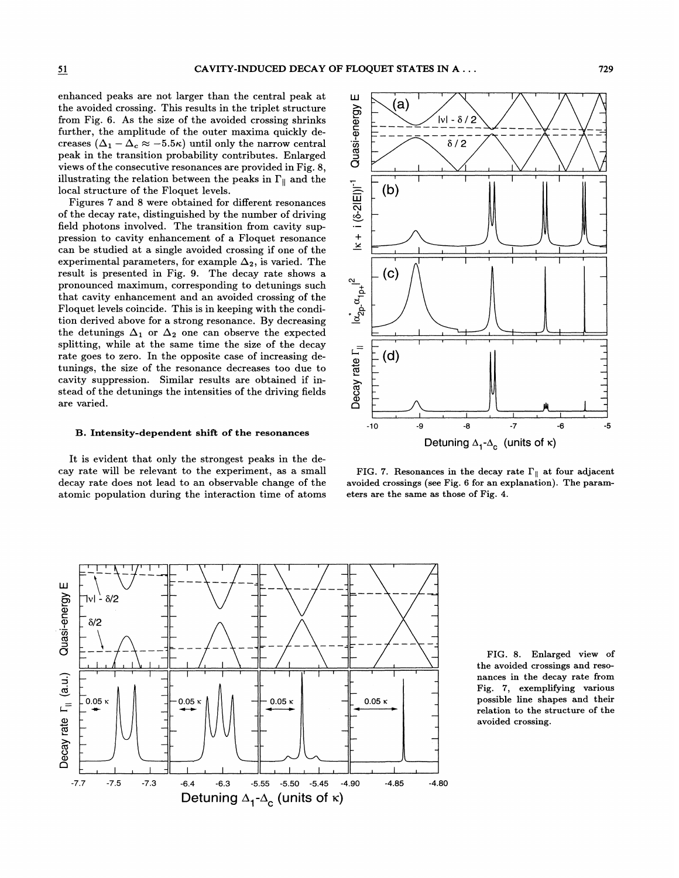enhanced peaks are not larger than the central peak at the avoided crossing. This results in the triplet structure from Fig. 6. As the size of the avoided crossing shrinks further, the amplitude of the outer maxima quickly decreases  $(\Delta_1 - \Delta_c \approx -5.5\kappa)$  until only the narrow central peak in the transition probability contributes. Enlarged views of the consecutive resonances are provided in Fig. 8, illustrating the relation between the peaks in  $\Gamma_{\parallel}$  and the local structure of the Floquet levels.

Figures 7 and 8 were obtained for different resonances of the decay rate, distinguished by the number of driving field photons involved. The transition from cavity suppression to cavity enhancement of a Floquet resonance can be studied at a single avoided crossing if one of the experimental parameters, for example  $\Delta_2$ , is varied. The result is presented in Fig. 9. The decay rate shows a pronounced maximum, corresponding to detunings such that cavity enhancement and an avoided crossing of the Floquet levels coincide. This is in keeping with the condition derived above for a strong resonance. By decreasing the detunings  $\Delta_1$  or  $\Delta_2$  one can observe the expected splitting, while at the same time the size of the decay rate goes to zero. In the opposite case of increasing detunings, the size of the resonance decreases too due to cavity suppression. Similar results are obtained if instead of the detunings the intensities of the driving fields are varied.

#### B. Intensity-dependent shift of the resonances

It is evident that only the strongest peaks in the decay rate will be relevant to the experiment, as a small decay rate does not lead to an observable change of the atomic population during the interaction time of atoms



FIG. 7. Resonances in the decay rate  $\Gamma_{\parallel}$  at four adjacent avoided crossings (see Fig. 6 for an explanation). The parameters are the same as those of Fig. 4.



FIG. 8. Enlarged view of the avoided crossings and resonances in the decay rate from Fig. 7, exemplifying various possible line shapes and their relation to the structure of the avoided crossing.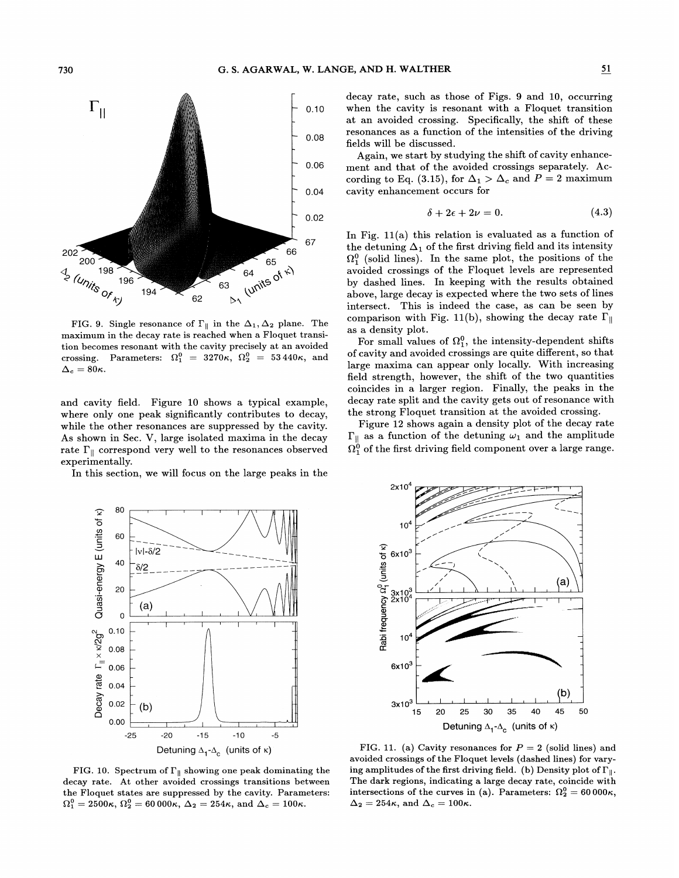

FIG. 9. Single resonance of  $\Gamma_{\parallel}$  in the  $\Delta_1, \Delta_2$  plane. The maximum in the decay rate is reached when a Floquet transicrossing. Parameters:  $\Omega_1^0 = 3270\kappa$ ,  $\Omega_2^0 = 53440\kappa$ , and  $\Delta_c = 80\kappa$ .

and cavity field. Figure 10 shows a typical example, where only one peak significantly contributes to decay, while the other resonances are suppressed by the cavity. As shown in Sec. V, large isolated maxima in the decay rate  $\Gamma_{\parallel}$  correspond very well to the resonances observed experimentally.

In this section, we will focus on the large peaks in the



FIG. 10. Spectrum of  $\Gamma_{\parallel}$  showing one peak dominating the decay rate. At other avoided crossings transitions between the Floquet states are suppressed by the cavity. Parameters 2500 $\kappa$ ,  $\Omega_2^0 = 60000\kappa$ ,  $\Delta_2 = 254\kappa$ , and  $\Delta_c = 100\kappa$ .

decay rate, such as those of Figs.  $9$  and 10, occurring when the cavity is resonant with a Floquet transition at an avoided crossing. Specifically, the shift of these resonances as a function of the intensities of the driving fields will be discussed.

Again, we start by studying the shift of cavity enhancement and that of the avoided crossings separately. According to Eq. (3.15), for  $\Delta_1 > \Delta_c$  and  $P = 2$  maximum cavity enhancement occurs for

$$
\delta + 2\epsilon + 2\nu = 0. \tag{4.3}
$$

In Fig. 11(a) this relation is evaluated as a function of the detuning  $\Delta_1$  of the first driving field and its intensity  $\Omega_1^0$  (solid lines). In the same plot, the positions of the avoided crossings of the Floquet levels are represented by dashed lines. In keeping with the results obtained above, large decay is expected where the two sets of lines intersect. This is indeed the case, as can be seen by comparison with Fig. 11(b), showing the decay rate  $\Gamma_{\rm ||}$ as a density plot.

For small values of  $\Omega_1^0$ , the intensity-dependent shifts of cavity and avoided crossings are quite different, so that large maxima can appear only locally. With increasing field strength, however, the shift of the two quantities coincides in a larger region. Finally, the peaks in the decay rate split and the cavity gets out of resonance with the strong Floquet transition at the avoided crossing.

Figure 12 shows again a density plot of the decay rate  $\Omega_{1}^0$  of the first driving field component over a large range  $\Gamma_{\parallel}$  as a function of the detuning  $\omega_1$  and the amplitude



FIG. 11. (a) Cavity resonances for  $P = 2$  (solid lines) and avoided crossings of the Floquet levels (dashed lines) for varying amplitudes of the first driving field. (b) Density plot of  $\Gamma_{\parallel}$ . ons of the curves in (a). Parameters:  $\Omega_2^0 = 60\,000\kappa$ ,  $\Delta_2 = 254\kappa$ , and  $\Delta_c = 100\kappa$ .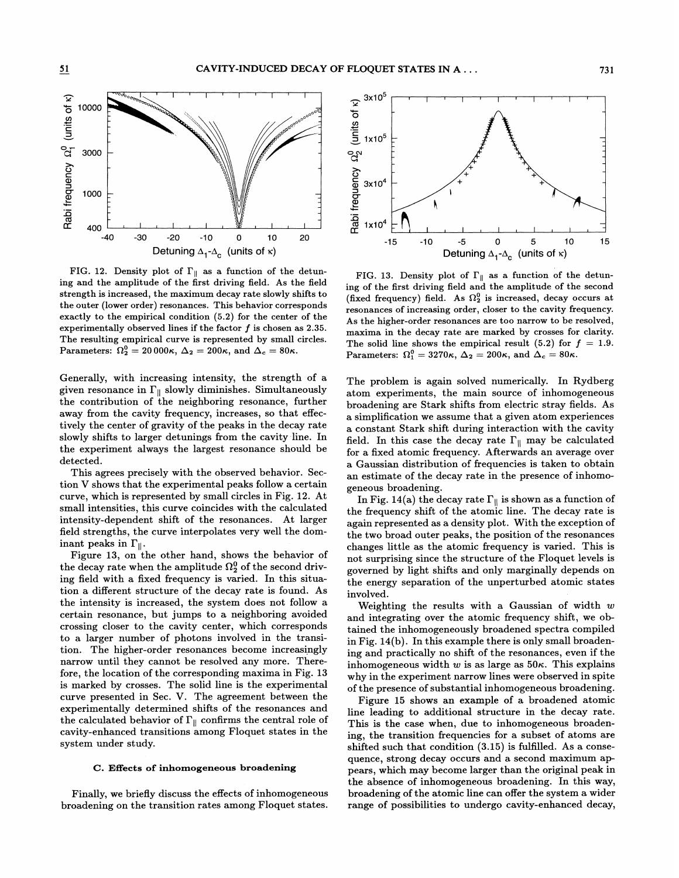

FIG. 12. Density plot of  $\Gamma_{\parallel}$  as a function of the detuning and the amplitude of the first driving field. As the field strength is increased, the maximum decay rate slowly shifts to the outer (lower order) resonances. This behavior corresponds exactly to the empirical condition (5.2) for the center of the experimentally observed lines if the factor  $f$  is chosen as 2.35. The resulting empirical curve is represented by small circles. Parameters:  $\Omega_2^0 = 20000\kappa$ ,  $\Delta_2 = 200\kappa$ , and  $\Delta_c = 80\kappa$ .

Generally, with increasing intensity, the strength of a given resonance in  $\Gamma_{\parallel}$  slowly diminishes. Simultaneously the contribution of the neighboring resonance, further away from the cavity frequency, increases, so that effectively the center of gravity of the peaks in the decay rate slowly shifts to larger detunings from the cavity-line. In the experiment always the largest resonance should be detected.

This agrees precisely with the observed behavior. Section V shows that the experimental peaks follow a certain curve, which is represented by small circles in Fig. 12. At small intensities, this curve coincides with the calculated intensity-dependent shift of the resonances. At larger field strengths, the curve interpolates very well the dominant peaks in  $\Gamma_{\parallel}$ .

Figure 13, on the other hand, shows the behavior of the decay rate when the amplitude  $\Omega_2^0$  of the second driving field with a fixed frequency is varied. In this situation a difFerent structure of the decay rate is found. As the intensity is increased, the system does not follow a certain resonance, but jumps to a neighboring avoided crossing closer to the cavity center, which corresponds to a larger number of photons involved in the transition. The higher-order resonances become increasingly narrow until they cannot be resolved any more. Therefore, the location of the corresponding maxima in Fig. 13 is marked by crosses. The solid line is the experimental curve presented in Sec. V. The agreement between the experimentally determined shifts of the resonances and the calculated behavior of  $\Gamma_{\parallel}$  confirms the central role of cavity-enhanced transitions among Floquet states in the system under study.

#### C. Effects of inhomogeneous broadening

Finally, we briefly discuss the effects of inhomogeneous broadening on the transition rates among Floquet states.



FIG. 13. Density plot of  $\Gamma_{\parallel}$  as a function of the detuning of the first driving field and the amplitude of the second (fixed frequency) field. As  $\Omega_2^0$  is increased, decay occurs at resonances of increasing order, closer to the cavity frequency. As the higher-order resonances are too narrow to be resolved, maxima in the decay rate are marked by crosses for clarity. The solid line shows the empirical result (5.2) for  $f = 1.9$ . Parameters:  $\Omega_1^0 = 3270\kappa$ ,  $\Delta_2 = 200\kappa$ , and  $\Delta_c = 80\kappa$ .

The problem is again solved numerically. In Rydberg atom experiments, the main source of inhomogeneous broadening are Stark shifts from electric stray fields. As a simpli6cation we assume that a given atom experiences a constant Stark shift during interaction with the cavity field. In this case the decay rate  $\Gamma_{\parallel}$  may be calculated for a fixed atomic frequency. Afterwards an average over a Gaussian distribution of frequencies is taken to obtain an estimate of the decay rate in the presence of inhomogeneous broadening.

In Fig. 14(a) the decay rate  $\Gamma_{\parallel}$  is shown as a function of the frequency shift of the atomic line. The decay rate is again represented as a density plot. With the exception of the two broad outer peaks, the position of the resonances changes little as the atomic frequency is varied. This is not surprising since the structure of the Floquet levels is governed by light shifts and only marginally depends on the energy separation of the unperturbed atomic states involved.

Weighting the results with a Gaussian of width  $w$ and integrating over the atomic frequency shift, we obtained the inhomogeneously broadened spectra compiled in Fig. 14(b). In this example there is only small broadening and practically no shift of the resonances, even if the inhomogeneous width w is as large as  $50<sup>\kappa</sup>$ . This explains why in the experiment narrow lines were observed in spite of the presence of substantial inhomogeneous broadening.

Figure 15 shows an example of a broadened atomic line leading to additional structure in the decay rate. This is the case when, due to inhomogeneous broadening, the transition frequencies for a subset of atoms are shifted such that condition (3.15) is fulfilled. As a consequence, strong decay occurs and a second maximum appears, which may become larger than the original peak in the absence of inhomogeneous broadening. In this way, broadening of the atomic line can offer the system a wider range of possibilities to undergo cavity-enhanced decay,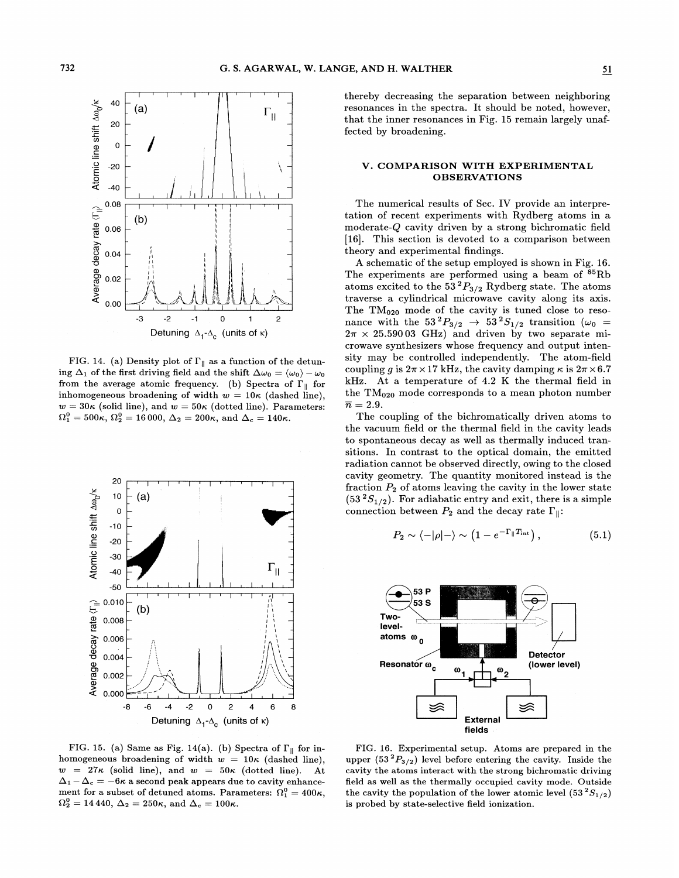

FIG. 14. (a) Density plot of  $\Gamma_{\parallel}$  as a function of the detuning  $\Delta_1$  of the first driving field and the shift  $\Delta\omega_0 = \langle \omega_0 \rangle - \omega_0$ from the average atomic frequency. (b) Spectra of  $\Gamma_{\parallel}$  for inhomogeneous broadening of width  $w = 10\kappa$  (dashed line),  $w = 30\kappa$  (solid line), and  $w = 50\kappa$  (dotted line). Parameters:  $\Omega_1^0 = 500\kappa$ ,  $\Omega_2^0 = 16000$ ,  $\Delta_2 = 200\kappa$ , and  $\Delta_c = 140\kappa$ .



FIG. 15. (a) Same as Fig. 14(a). (b) Spectra of  $\Gamma_{\parallel}$  for inhomogeneous broadening of width  $w = 10\kappa$  (dashed line).  $w = 27\kappa$  (solid line), and  $w = 50\kappa$  (dotted line). At  $\Delta_1 - \Delta_c = -6\kappa$  a second peak appears due to cavity enhancement for a subset of detuned atoms. Parameters:  $\Omega_1^0 = 400\kappa$ ,  $\Omega_2^0 = 14440, \Delta_2 = 250\kappa, \text{ and } \Delta_c = 100\kappa.$ 

thereby decreasing the separation between neighboring resonances in the spectra. It should be noted, however, that the inner resonances in Fig. 15 remain largely unaffected by broadening.

# V. COMPARISON WITH EXPERIMENTAL **OBSERVATIONS**

The numerical results of Sec. IV provide an interpretation of recent experiments with Rydberg atoms in a moderate- $Q$  cavity driven by a strong bichromatic field [16]. This section is devoted to a comparison between theory and experimental findings.

A schematic of the setup employed is shown in Fig. 16. The experiments are performed using a beam of <sup>85</sup>Rb atoms excited to the 53<sup>2</sup> $P_{3/2}$  Rydberg state. The atoms traverse a cylindrical microwave cavity along its axis. The TM<sub>020</sub> mode of the cavity is tuned close to resonance with the  $53^{2}P_{3/2} \rightarrow 53^{2}S_{1/2}$  transition ( $\omega_{0} = 2\pi \times 25.59003$  GHz) and driven by two separate microwave synthesizers whose frequency and output intensity may be controlled independently. The atom-field coupling q is  $2\pi \times 17$  kHz, the cavity damping  $\kappa$  is  $2\pi \times 6.7$ kHz. At a temperature of 4.2 K the thermal field in the  $TM<sub>020</sub>$  mode corresponds to a mean photon number  $\overline{n} = 2.9.$ 

The coupling of the bichromatically driven atoms to the vacuum field or the thermal field in the cavity leads to spontaneous decay as well as thermally induced transitions. In contrast to the optical domain, the emitted radiation cannot be observed directly, owing to the closed cavity geometry. The quantity monitored instead is the fraction  $P_2$  of atoms leaving the cavity in the lower state  $(53^2S_{1/2})$ . For adiabatic entry and exit, there is a simple connection between  $P_2$  and the decay rate  $\Gamma_{\parallel}$ :

$$
P_2 \sim \langle -|\rho|-\rangle \sim \left(1 - e^{-\Gamma_{\parallel}T_{\rm int}}\right),\tag{5.1}
$$



FIG. 16. Experimental setup. Atoms are prepared in the upper  $(53^2P_{3/2})$  level before entering the cavity. Inside the cavity the atoms interact with the strong bichromatic driving field as well as the thermally occupied cavity mode. Outside the cavity the population of the lower atomic level  $(53^2S_{1/2})$ is probed by state-selective field ionization.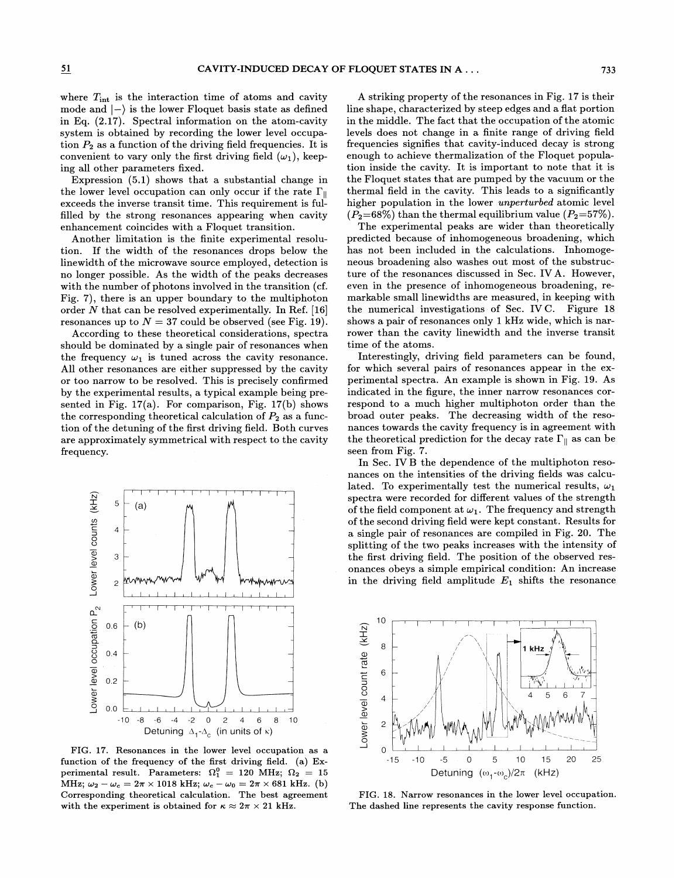where  $T_{\text{int}}$  is the interaction time of atoms and cavity mode and  $\ket{-}$  is the lower Floquet basis state as defined in Eq. (2.17). Spectral information on the atom-cavity system is obtained by recording the lower level occupation  $P_2$  as a function of the driving field frequencies. It is convenient to vary only the first driving field  $(\omega_1)$ , keeping all other parameters fixed.

Expression (5,1) shows that a substantial change in the lower level occupation can only occur if the rate  $\Gamma_{\parallel}$ exceeds the inverse transit time. This requirement is fulfilled by the strong resonances appearing when cavity enhancement coincides with a Floquet transition.

Another limitation is the finite experimental resolution. If the width of the resonances drops below the linewidth of the microwave source employed, detection is no longer possible. As the width of the peaks decreases with the number of photons involved in the transition (cf. Fig. 7), there is an upper boundary to the multiphoton order  $N$  that can be resolved experimentally. In Ref. [16] resonances up to  $N = 37$  could be observed (see Fig. 19).

According to these theoretical considerations, spectra should be dominated by a single pair of resonances when the frequency  $\omega_1$  is tuned across the cavity resonance. All other resonances are either suppressed by the cavity or too narrow to be resolved. This is precisely confirmed by the experimental results, a typical example being presented in Fig. 17(a). For comparison, Fig. 17(b) shows the corresponding theoretical calculation of  $P_2$  as a function of the detuning of the first driving field. Both curves are approximately symmetrical with respect to the cavity frequency.



FIG. 17. Resonances in the lower level occupation as a function of the frequency of the first driving field. (a) Experimental result. Parameters:  $\Omega_1^0 = 120 \text{ MHz}; \ \Omega_2 = 15$ MHz;  $\omega_2 - \omega_c = 2\pi \times 1018$  kHz;  $\omega_c - \omega_0 = 2\pi \times 681$  kHz. (b) Corresponding theoretical calculation. The best agreement with the experiment is obtained for  $\kappa \approx 2\pi \times 21$  kHz.

A striking property of the resonances in Fig. 17 is their line shape, characterized by steep edges and a Hat portion in the middle. The fact that the occupation of the atomic levels does not change in a finite range of driving field frequencies signifies that cavity-induced decay is strong enough to achieve thermalization of the Floquet population inside the cavity. It is important to note that it is the Floquet states that are pumped by the vacuum or the thermal field in the cavity. This leads to a significantly higher population in the lower *unperturbed* atomic level  $(P_2=68\%)$  than the thermal equilibrium value  $(P_2=57\%).$ 

The experimental peaks are wider than theoretically predicted because of inhomogeneous broadening, which has not been included in the calculations. Inhomogeneous broadening also washes out most of the substructure of the resonances discussed in Sec. IVA. However, even in the presence of inhomogeneous broadening, remarkable small linewidths are measured, in keeping with the numerical investigations of Sec. IVC. Figure 18 shows a pair of resonances only 1 kHz wide, which is narrower than the cavity linewidth and the inverse transit time of the atoms.

Interestingly, driving field parameters can be found, for which several pairs of resonances appear in the experimental spectra. An example is shown in Fig. 19. As indicated in the figure, the inner narrow resonances correspond to a much higher multiphoton order than the broad outer peaks. The decreasing width of the resonances towards the cavity frequency is in agreement with the theoretical prediction for the decay rate  $\Gamma_{\parallel}$  as can be seen from Fig. 7.

In Sec. IVB the dependence of the multiphoton resonances on the intensities of the driving fields was calculated. To experimentally test the numerical results,  $\omega_1$ spectra were recorded for diferent values of the strength of the field component at  $\omega_1$ . The frequency and strength of the second driving field were kept constant. Results for a single pair of resonances are compiled in Fig. 20. The splitting of the two peaks increases with the intensity of the first driving field. The position of the observed resonances obeys a simple empirical condition: An increase in the driving field amplitude  $E_1$  shifts the resonance



FIG. 18. Narrow resonances in the lower level occupation. The dashed line represents the cavity response function.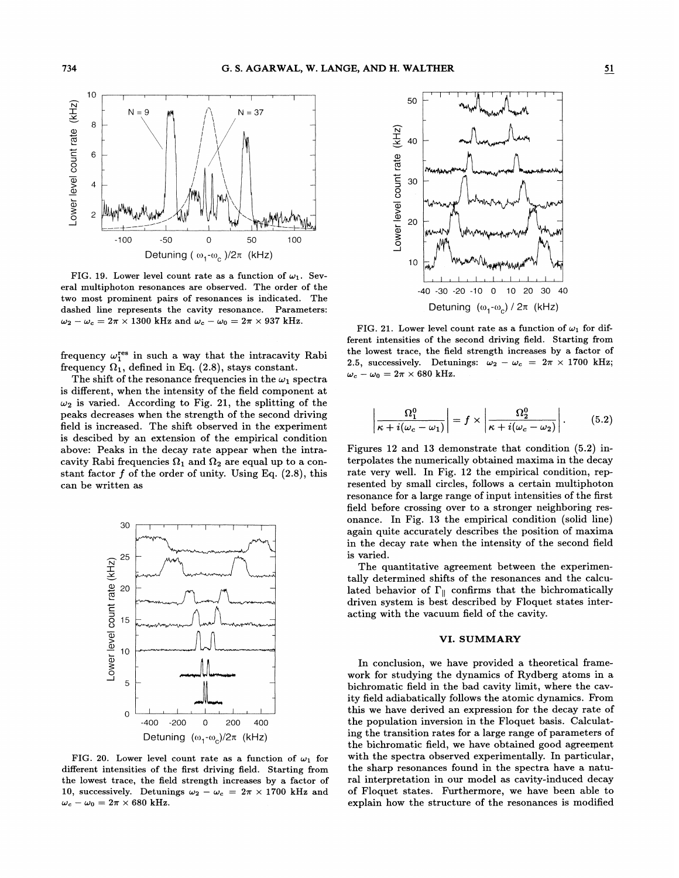

FIG. 19. Lower level count rate as a function of  $\omega_1$ . Several multiphoton resonances are observed. The order of the two most prominent pairs of resonances is indicated. The dashed line represents the cavity resonance. Parameters:  $\omega_2 - \omega_c = 2\pi \times 1300$  kHz and  $\omega_c - \omega_0 = 2\pi \times 937$  kHz.

frequency  $\omega_1^{\text{res}}$  in such a way that the intracavity Rabi frequency  $\Omega_1$ , defined in Eq. (2.8), stays constant.

The shift of the resonance frequencies in the  $\omega_1$  spectra is diferent, when the intensity of the field component at  $\omega_2$  is varied. According to Fig. 21, the splitting of the peaks decreases when the strength of the second driving field is increased. The shift observed in the experiment is descibed by an extension of the empirical condition above: Peaks in the decay rate appear when the intracavity Rabi frequencies  $\Omega_1$  and  $\Omega_2$  are equal up to a constant factor  $f$  of the order of unity. Using Eq.  $(2.8)$ , this can be written as



FIG. 20. Lower level count rate as a function of  $\omega_1$  for different intensities of the first driving field. Starting from the lowest trace, the field strength increases by a factor of 10, successively. Detunings  $\omega_2 - \omega_c = 2\pi \times 1700$  kHz and  $\omega_c - \omega_0 = 2\pi \times 680$  kHz.



FIG. 21. Lower level count rate as a function of  $\omega_1$  for different intensities of the second driving field. Starting from the lowest trace, the field strength increases by a factor of 2.5, successively. Detunings:  $\omega_2 - \omega_c = 2\pi \times 1700 \text{ kHz}$ ;  $\omega_c - \omega_0 = 2\pi \times 680$  kHz.

$$
\left|\frac{\Omega_1^0}{\kappa + i(\omega_c - \omega_1)}\right| = f \times \left|\frac{\Omega_2^0}{\kappa + i(\omega_c - \omega_2)}\right|.
$$
 (5.2)

Figures 12 and 13 demonstrate that condition (5.2) interpolates the numerically obtained maxima in the decay rate very well. In Fig. 12 the empirical condition, represented by small circles, follows a certain multiphoton resonance for a large range of input intensities of the first field before crossing over to a stronger neighboring resonance. In Fig. 13 the empirical condition (solid line) again quite accurately describes the position of maxima in the decay rate when the intensity of the second field is varied.

The quantitative agreement between the experimentally determined shifts of the resonances and the calculated behavior of  $\Gamma_{\parallel}$  confirms that the bichromatically driven system is best described by Floquet states interacting with the vacuum field of the cavity.

### VI. SUMMARY

In conclusion, we have provided a theoretical framework for studying the dynamics of Rydberg atoms in a bichromatic field in the bad cavity limit, where the cavity field adiabatically follows the atomic dynamics. From this we have derived an expression for the decay rate of the population inversion in the Floquet basis. Calculating the transition rates for a large range of parameters of the bichromatic field, we have obtained good agreement with the spectra observed experimentally. In particular, the sharp resonances found in the spectra have a natural interpretation in our model as cavity-induced decay of Floquet states. Furthermore, we have been able to explain how the structure of the resonances is modified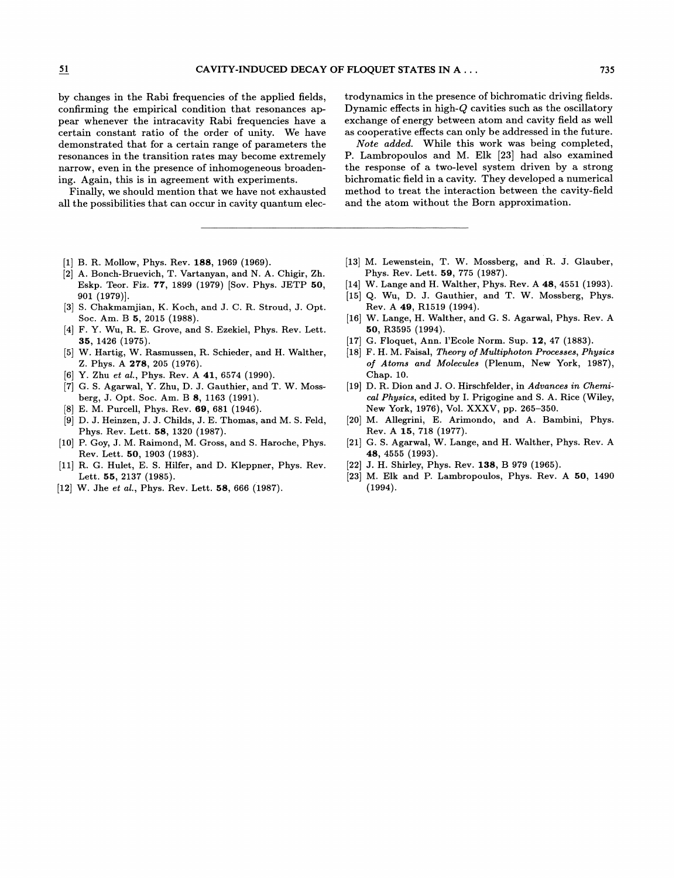by changes in the Rabi frequencies of the applied fields, confirming the empirical condition that resonances appear whenever the intracavity Rabi frequencies have a certain constant ratio of the order of unity. We have demonstrated that for a certain range of parameters the resonances in the transition rates may become extremely narrow, even in the presence of inhomogeneous broadening. Again, this is in agreement with experiments.

Finally, we should mention that we have not exhausted all the possibilities that can occur in cavity quantum elec-

- [1] B. R. Mollow, Phys. Rev. 188, 1969 (1969).
- [2] A. Bonch-Bruevich, T. Vartanyan, and N. A. Chigir, Zh. Eskp. Teor. Fiz. 77, 1899 (1979) [Sov. Phys. JETP 50, 901 (1979)].
- [3] S. Chakmamjian, K. Koch, and J. C. R. Stroud, J. Opt. Soc. Am. B 5, 2015 (1988).
- [4] F. Y. Wu, R. E. Grove, and S. Ezekiel, Phys. Rev. Lett. 35, 1426 (1975).
- [5] W. Hartig, W. Rasmussen, R. Schieder, and H. Walther, Z. Phys. A 278, 205 (1976).
- [6] Y. Zhu et al., Phys. Rev. A 41, 6574 (1990).
- [7] G. S. Agarwal, Y. Zhu, D. J. Gauthier, and T. W. Mossberg, J. Opt. Soc. Am. B 8, 1163 (1991).
- [8] E. M. Purcell, Phys. Rev. 69, 681 (1946).
- [9] D. J. Heinzen, J.J. Childs, J. E. Thomas, and M. S. Feld, Phys. Rev. Lett. 58, 1320 (1987).
- [10] P. Goy, J. M. Raimond, M. Gross, and S. Haroche, Phys. Rev. Lett. 50, 1903 (1983).
- [11] R. G. Hulet, E. S. Hilfer, and D. Kleppner, Phys. Rev. Lett. 55, 2137 (1985).
- [12] W. Jhe et al., Phys. Rev. Lett. 58, 666 (1987).

trodynamics in the presence of bichromatic driving fields. Dynamic effects in high- $Q$  cavities such as the oscillatory exchange of energy between atom and cavity field as well as cooperative effects can only be addressed in the future.

Note added. While this work was being completed, P. Lambropoulos and M. Elk [23] had also examined the response of a two-level system driven by a strong bichromatic Geld in a cavity. They developed a numerical method to treat the interaction between the cavity-field and the atom without the Born approximation.

- [13] M. Lewenstein, T. W. Mossberg, and R. J. Glauber, Phys. Rev. Lett. 59, 775 (1987).
- [14] W. Lange and H. Walther, Phys. Rev. A 48, 4551 (1993).
- [15] Q. Wu, D. J. Gauthier, and T. W. Mossberg, Phys. Rev. A 49, R1519 (1994).
- [16] W. Lange, H. Walther, and G. S. Agarwal, Phys. Rev. A 50, R3595 (1994).
- [17] G. Floquet, Ann. I'Ecole Norm. Sup. 12, 47 (1883).
- [18] F. H. M. Faisal, Theory of Multiphoton Processes, Physics of Atoms and Molecules (Plenum, New York, 1987), Chap. 10.
- [19] D. R. Dion and J. O. Hirschfelder, in Advances in Chemical Physics, edited by I. Prigogine and S. A. Rice (Wiley, New York, 1976), Vol. XXXV, pp. 265—350.
- [20] M. Allegrini, E. Arimondo, and A. Bambini, Phys. Rev. A 15, 718 (1977).
- [21] G. S. Agarwal, W. Lange, and H. Walther, Phys. Rev. A 48, 4555 (1993).
- [22] J. H. Shirley, Phys. Rev. 138, B 979 (1965).
- [23] M. Elk and P. Lambropoulos, Phys. Rev. A 50, 1490 (1994).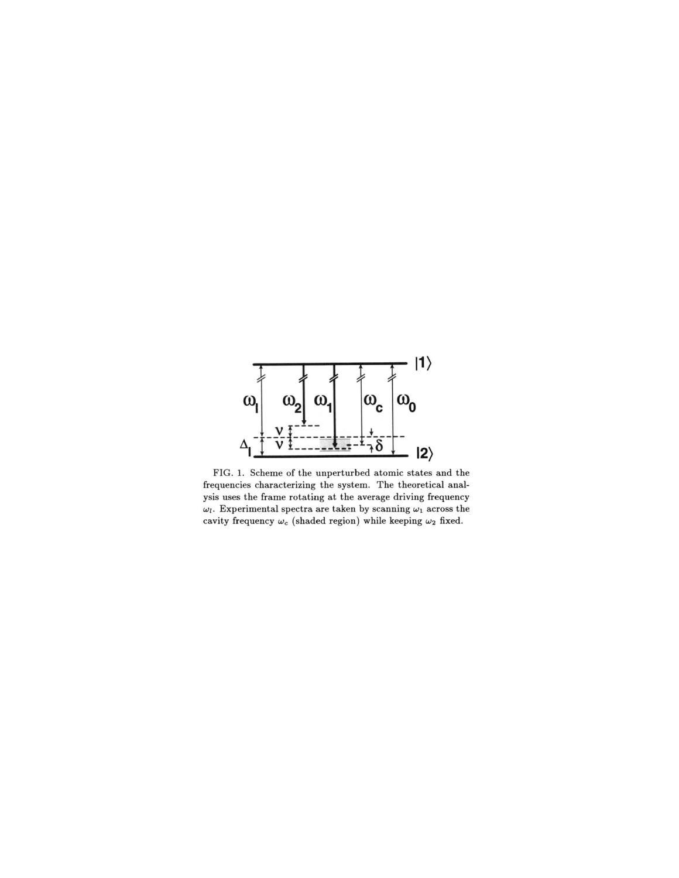

FIG. 1. Scheme of the unperturbed atomic states and the frequencies characterizing the system. The theoretical analysis uses the frame rotating at the average driving frequency  $\omega_l$ . Experimental spectra are taken by scanning  $\omega_1$  across the cavity frequency  $\omega_c$  (shaded region) while keeping  $\omega_2$  fixed.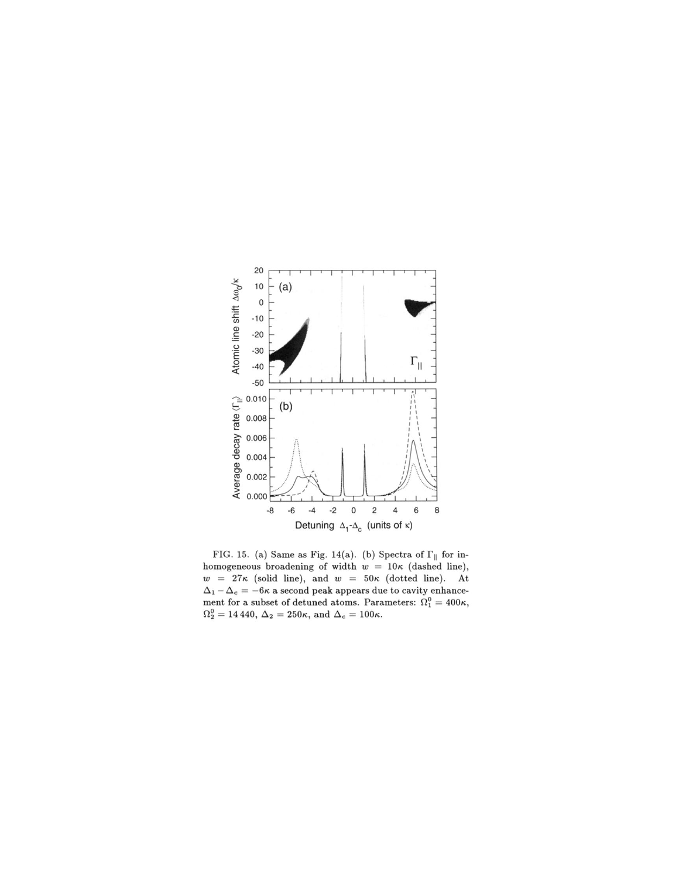

FIG. 15. (a) Same as Fig. 14(a). (b) Spectra of  $\Gamma_{\parallel}$  for inhomogeneous broadening of width  $w = 10\kappa$  (dashed line),  $w = 27\kappa$  (solid line), and  $w = 50\kappa$  (dotted line). At  $\Delta_1 - \Delta_c = -6\kappa$  a second peak appears due to cavity enhancement for a subset of detuned atoms. Parameters:  $\Omega_1^0 = 400\kappa,$  $\Omega_2^0=14\,440,\,\Delta_2=250\kappa,$  and  $\Delta_c=100\kappa.$